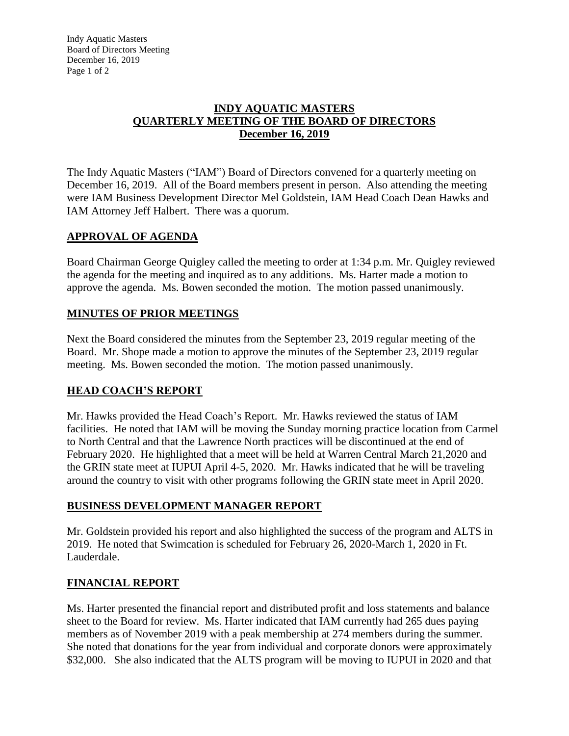Indy Aquatic Masters Board of Directors Meeting December 16, 2019 Page 1 of 2

### **INDY AQUATIC MASTERS QUARTERLY MEETING OF THE BOARD OF DIRECTORS December 16, 2019**

The Indy Aquatic Masters ("IAM") Board of Directors convened for a quarterly meeting on December 16, 2019. All of the Board members present in person. Also attending the meeting were IAM Business Development Director Mel Goldstein, IAM Head Coach Dean Hawks and IAM Attorney Jeff Halbert. There was a quorum.

## **APPROVAL OF AGENDA**

Board Chairman George Quigley called the meeting to order at 1:34 p.m. Mr. Quigley reviewed the agenda for the meeting and inquired as to any additions. Ms. Harter made a motion to approve the agenda. Ms. Bowen seconded the motion. The motion passed unanimously.

## **MINUTES OF PRIOR MEETINGS**

Next the Board considered the minutes from the September 23, 2019 regular meeting of the Board. Mr. Shope made a motion to approve the minutes of the September 23, 2019 regular meeting. Ms. Bowen seconded the motion. The motion passed unanimously.

# **HEAD COACH'S REPORT**

Mr. Hawks provided the Head Coach's Report. Mr. Hawks reviewed the status of IAM facilities. He noted that IAM will be moving the Sunday morning practice location from Carmel to North Central and that the Lawrence North practices will be discontinued at the end of February 2020. He highlighted that a meet will be held at Warren Central March 21,2020 and the GRIN state meet at IUPUI April 4-5, 2020. Mr. Hawks indicated that he will be traveling around the country to visit with other programs following the GRIN state meet in April 2020.

## **BUSINESS DEVELOPMENT MANAGER REPORT**

Mr. Goldstein provided his report and also highlighted the success of the program and ALTS in 2019. He noted that Swimcation is scheduled for February 26, 2020-March 1, 2020 in Ft. Lauderdale.

## **FINANCIAL REPORT**

Ms. Harter presented the financial report and distributed profit and loss statements and balance sheet to the Board for review. Ms. Harter indicated that IAM currently had 265 dues paying members as of November 2019 with a peak membership at 274 members during the summer. She noted that donations for the year from individual and corporate donors were approximately \$32,000. She also indicated that the ALTS program will be moving to IUPUI in 2020 and that